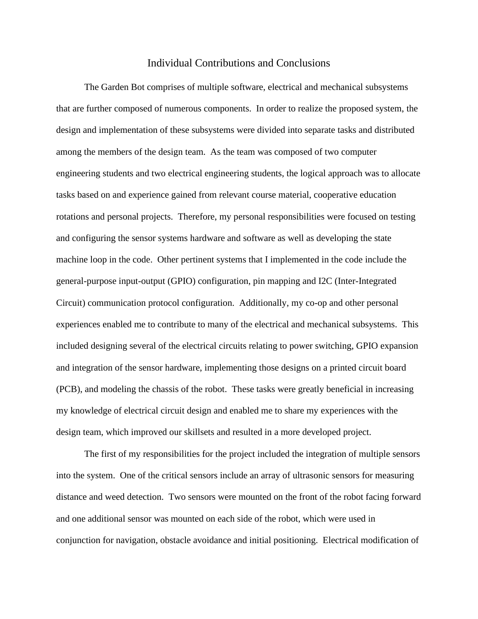## Individual Contributions and Conclusions

The Garden Bot comprises of multiple software, electrical and mechanical subsystems that are further composed of numerous components. In order to realize the proposed system, the design and implementation of these subsystems were divided into separate tasks and distributed among the members of the design team. As the team was composed of two computer engineering students and two electrical engineering students, the logical approach was to allocate tasks based on and experience gained from relevant course material, cooperative education rotations and personal projects. Therefore, my personal responsibilities were focused on testing and configuring the sensor systems hardware and software as well as developing the state machine loop in the code. Other pertinent systems that I implemented in the code include the general-purpose input-output (GPIO) configuration, pin mapping and I2C (Inter-Integrated Circuit) communication protocol configuration. Additionally, my co-op and other personal experiences enabled me to contribute to many of the electrical and mechanical subsystems. This included designing several of the electrical circuits relating to power switching, GPIO expansion and integration of the sensor hardware, implementing those designs on a printed circuit board (PCB), and modeling the chassis of the robot. These tasks were greatly beneficial in increasing my knowledge of electrical circuit design and enabled me to share my experiences with the design team, which improved our skillsets and resulted in a more developed project.

The first of my responsibilities for the project included the integration of multiple sensors into the system. One of the critical sensors include an array of ultrasonic sensors for measuring distance and weed detection. Two sensors were mounted on the front of the robot facing forward and one additional sensor was mounted on each side of the robot, which were used in conjunction for navigation, obstacle avoidance and initial positioning. Electrical modification of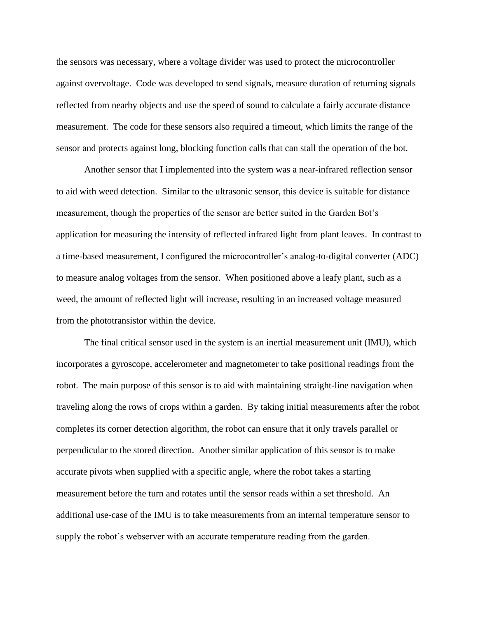the sensors was necessary, where a voltage divider was used to protect the microcontroller against overvoltage. Code was developed to send signals, measure duration of returning signals reflected from nearby objects and use the speed of sound to calculate a fairly accurate distance measurement. The code for these sensors also required a timeout, which limits the range of the sensor and protects against long, blocking function calls that can stall the operation of the bot.

Another sensor that I implemented into the system was a near-infrared reflection sensor to aid with weed detection. Similar to the ultrasonic sensor, this device is suitable for distance measurement, though the properties of the sensor are better suited in the Garden Bot's application for measuring the intensity of reflected infrared light from plant leaves. In contrast to a time-based measurement, I configured the microcontroller's analog-to-digital converter (ADC) to measure analog voltages from the sensor. When positioned above a leafy plant, such as a weed, the amount of reflected light will increase, resulting in an increased voltage measured from the phototransistor within the device.

The final critical sensor used in the system is an inertial measurement unit (IMU), which incorporates a gyroscope, accelerometer and magnetometer to take positional readings from the robot. The main purpose of this sensor is to aid with maintaining straight-line navigation when traveling along the rows of crops within a garden. By taking initial measurements after the robot completes its corner detection algorithm, the robot can ensure that it only travels parallel or perpendicular to the stored direction. Another similar application of this sensor is to make accurate pivots when supplied with a specific angle, where the robot takes a starting measurement before the turn and rotates until the sensor reads within a set threshold. An additional use-case of the IMU is to take measurements from an internal temperature sensor to supply the robot's webserver with an accurate temperature reading from the garden.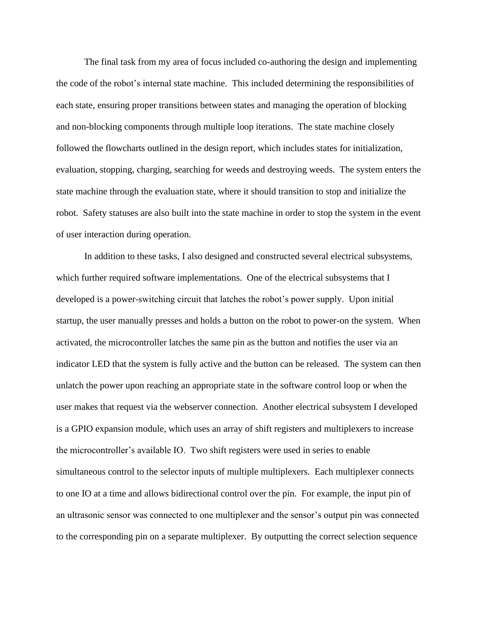The final task from my area of focus included co-authoring the design and implementing the code of the robot's internal state machine. This included determining the responsibilities of each state, ensuring proper transitions between states and managing the operation of blocking and non-blocking components through multiple loop iterations. The state machine closely followed the flowcharts outlined in the design report, which includes states for initialization, evaluation, stopping, charging, searching for weeds and destroying weeds. The system enters the state machine through the evaluation state, where it should transition to stop and initialize the robot. Safety statuses are also built into the state machine in order to stop the system in the event of user interaction during operation.

In addition to these tasks, I also designed and constructed several electrical subsystems, which further required software implementations. One of the electrical subsystems that I developed is a power-switching circuit that latches the robot's power supply. Upon initial startup, the user manually presses and holds a button on the robot to power-on the system. When activated, the microcontroller latches the same pin as the button and notifies the user via an indicator LED that the system is fully active and the button can be released. The system can then unlatch the power upon reaching an appropriate state in the software control loop or when the user makes that request via the webserver connection. Another electrical subsystem I developed is a GPIO expansion module, which uses an array of shift registers and multiplexers to increase the microcontroller's available IO. Two shift registers were used in series to enable simultaneous control to the selector inputs of multiple multiplexers. Each multiplexer connects to one IO at a time and allows bidirectional control over the pin. For example, the input pin of an ultrasonic sensor was connected to one multiplexer and the sensor's output pin was connected to the corresponding pin on a separate multiplexer. By outputting the correct selection sequence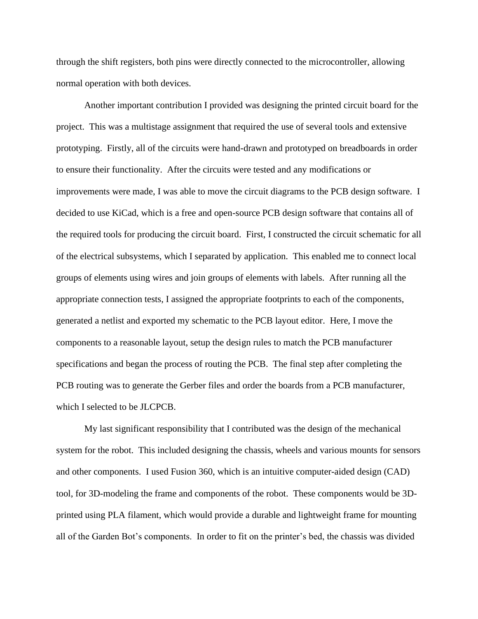through the shift registers, both pins were directly connected to the microcontroller, allowing normal operation with both devices.

Another important contribution I provided was designing the printed circuit board for the project. This was a multistage assignment that required the use of several tools and extensive prototyping. Firstly, all of the circuits were hand-drawn and prototyped on breadboards in order to ensure their functionality. After the circuits were tested and any modifications or improvements were made, I was able to move the circuit diagrams to the PCB design software. I decided to use KiCad, which is a free and open-source PCB design software that contains all of the required tools for producing the circuit board. First, I constructed the circuit schematic for all of the electrical subsystems, which I separated by application. This enabled me to connect local groups of elements using wires and join groups of elements with labels. After running all the appropriate connection tests, I assigned the appropriate footprints to each of the components, generated a netlist and exported my schematic to the PCB layout editor. Here, I move the components to a reasonable layout, setup the design rules to match the PCB manufacturer specifications and began the process of routing the PCB. The final step after completing the PCB routing was to generate the Gerber files and order the boards from a PCB manufacturer, which I selected to be JLCPCB.

My last significant responsibility that I contributed was the design of the mechanical system for the robot. This included designing the chassis, wheels and various mounts for sensors and other components. I used Fusion 360, which is an intuitive computer-aided design (CAD) tool, for 3D-modeling the frame and components of the robot. These components would be 3Dprinted using PLA filament, which would provide a durable and lightweight frame for mounting all of the Garden Bot's components. In order to fit on the printer's bed, the chassis was divided